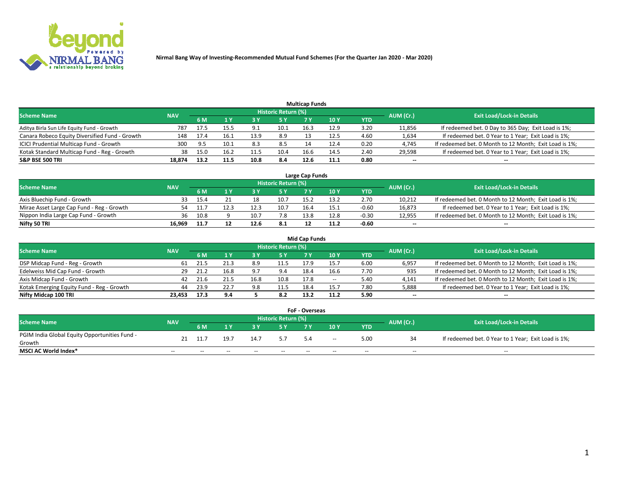

|                                                |            |      |      |      |                     | <b>Multicap Funds</b> |      |      |           |                                                        |
|------------------------------------------------|------------|------|------|------|---------------------|-----------------------|------|------|-----------|--------------------------------------------------------|
| <b>Scheme Name</b>                             | <b>NAV</b> |      |      |      | Historic Return (%) |                       |      |      | AUM (Cr.) | <b>Exit Load/Lock-in Details</b>                       |
|                                                |            | 6 M  |      |      | 5 Y                 |                       | 10 Y | YTD  |           |                                                        |
| Aditya Birla Sun Life Equity Fund - Growth     | 787        | 17.5 | 15.5 | Q    | 10.1                | 16.3                  | 12.9 | 3.20 | 11,856    | If redeemed bet. 0 Day to 365 Day; Exit Load is 1%;    |
| Canara Robeco Equity Diversified Fund - Growth | 148        | 17.4 | 16.1 | 13.9 | 8.9                 |                       | 12.5 | 4.60 | 1,634     | If redeemed bet. 0 Year to 1 Year; Exit Load is 1%;    |
| ICICI Prudential Multicap Fund - Growth        | 300        | 9.5  | 10.1 | 8.3  | 8.5                 |                       | 12.4 | 0.20 | 4,745     | If redeemed bet. 0 Month to 12 Month; Exit Load is 1%; |
| Kotak Standard Multicap Fund - Reg - Growth    | 38         | 15.0 | 16.2 | 11.5 | 10.4                | 16.6                  | 14.5 | 2.40 | 29,598    | If redeemed bet. 0 Year to 1 Year; Exit Load is 1%;    |
| <b>S&amp;P BSE 500 TRI</b>                     | 18.874     | 13.2 |      |      | 8.4                 | 12.6                  | 11.1 | 0.80 | $- -$     | $-$                                                    |

| Large Cap Funds                           |            |      |  |      |                            |      |      |         |           |                                                        |  |  |  |  |
|-------------------------------------------|------------|------|--|------|----------------------------|------|------|---------|-----------|--------------------------------------------------------|--|--|--|--|
| Scheme Name                               | <b>NAV</b> |      |  |      | <b>Historic Return (%)</b> |      |      |         | AUM (Cr.) | <b>Exit Load/Lock-in Details</b>                       |  |  |  |  |
|                                           |            | 6 M  |  |      | 5 Y                        |      | 10Y  | YTD     |           |                                                        |  |  |  |  |
| Axis Bluechip Fund - Growth               |            | 15.4 |  | 10   | 10.7                       | 15.2 | 13.2 | 2.70    | 10,212    | If redeemed bet. 0 Month to 12 Month; Exit Load is 1%; |  |  |  |  |
| Mirae Asset Large Cap Fund - Reg - Growth | 54         | 11.7 |  | 12.3 | 10.7                       | 16.4 | 15.1 | $-0.60$ | 16,873    | If redeemed bet. 0 Year to 1 Year; Exit Load is 1%;    |  |  |  |  |
| Nippon India Large Cap Fund - Growth      | 36         | 10.8 |  | 10.7 | 7.8                        | 13.8 | 12.8 | $-0.30$ | 12,955    | If redeemed bet. 0 Month to 12 Month; Exit Load is 1%; |  |  |  |  |
| Nifty 50 TRI                              | 16.969     | 11.7 |  | 12.6 | 8.1                        |      | 11.2 | $-0.60$ | $\sim$    | $\sim$                                                 |  |  |  |  |

|                                           |            |      |      |      |                     | <b>Mid Cap Funds</b> |        |            |           |                                                        |
|-------------------------------------------|------------|------|------|------|---------------------|----------------------|--------|------------|-----------|--------------------------------------------------------|
| <b>Scheme Name</b>                        | <b>NAV</b> |      |      |      | Historic Return (%) |                      |        |            | AUM (Cr.) | <b>Exit Load/Lock-in Details</b>                       |
|                                           |            | 6 M  | 1 Y  |      |                     |                      | 10Y    | <b>YTD</b> |           |                                                        |
| DSP Midcap Fund - Reg - Growth            | 61         | 21.5 | 21.3 | 8.9  | 11.5                | 17.9                 | 15.    | 6.00       | 6,957     | If redeemed bet. 0 Month to 12 Month; Exit Load is 1%; |
| Edelweiss Mid Cap Fund - Growth           |            | 21.2 |      | 9.7  | 9.4                 | 18.4                 | 16.6   | 7.70       | 935       | If redeemed bet. 0 Month to 12 Month; Exit Load is 1%; |
| Axis Midcap Fund - Growth                 | 42         | 21.6 |      | 16.8 | 10.8                | 17.8                 | $\sim$ | 5.40       | 4,141     | If redeemed bet. 0 Month to 12 Month; Exit Load is 1%; |
| Kotak Emerging Equity Fund - Reg - Growth | 44         | 23.9 | 22.7 | 9.8  | 11.5                | 18.4                 | 15.    | 7.80       | 5,888     | If redeemed bet. 0 Year to 1 Year; Exit Load is 1%;    |
| Nifty Midcap 100 TRI                      | 23.453     | 17.3 | 9.4  |      | 8.2                 | 13.2                 |        | 5.90       | $\sim$    | $\overline{\phantom{a}}$                               |

| <b>FoF - Overseas</b>                         |            |     |       |       |                            |     |        |            |           |                                                     |  |  |  |
|-----------------------------------------------|------------|-----|-------|-------|----------------------------|-----|--------|------------|-----------|-----------------------------------------------------|--|--|--|
| <b>Scheme Name</b>                            | <b>NAV</b> |     |       |       | <b>Historic Return (%)</b> |     |        |            | AUM (Cr.) | <b>Exit Load/Lock-in Details</b>                    |  |  |  |
|                                               |            | 6 M |       |       |                            |     | 10Y    | <b>YTD</b> |           |                                                     |  |  |  |
| PGIM India Global Equity Opportunities Fund - | 21         |     | 19.7  | 14.7  | 57                         | 5.4 | $\sim$ | 5.00       |           | If redeemed bet. 0 Year to 1 Year; Exit Load is 1%; |  |  |  |
| Growth                                        |            |     |       |       |                            |     |        |            |           |                                                     |  |  |  |
| <b>MSCI AC World Index*</b>                   | $- -$      | --  | $- -$ | $- -$ | $- -$                      |     | $- -$  | $- -$      | $- -$     | $- -$                                               |  |  |  |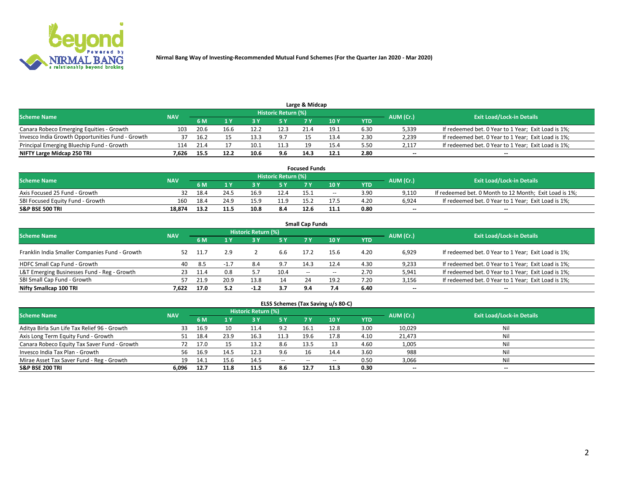

|                                                  |            |      |      |      | Historic Return (%) | Large & Midcap |      |            |                          |                                                     |
|--------------------------------------------------|------------|------|------|------|---------------------|----------------|------|------------|--------------------------|-----------------------------------------------------|
| <b>Scheme Name</b>                               | <b>NAV</b> | 6 M  |      |      | 5 Y                 |                | 10Y  | <b>YTD</b> | AUM (Cr.)                | <b>Exit Load/Lock-in Details</b>                    |
| Canara Robeco Emerging Equities - Growth         | 103        | 20.6 | 16.6 | 12.7 | 12.3                | 21.4           | 19.1 | 6.30       | 5,339                    | If redeemed bet. 0 Year to 1 Year; Exit Load is 1%; |
| Invesco India Growth Opportunities Fund - Growth |            | 16.2 |      | 13.5 | 9.7                 |                | 13.4 | 2.30       | 2,239                    | If redeemed bet. 0 Year to 1 Year; Exit Load is 1%; |
| Principal Emerging Bluechip Fund - Growth        | 114        | 21.4 |      | 10.1 | 11.3                |                | 15.4 | 5.50       | 2,117                    | If redeemed bet. 0 Year to 1 Year; Exit Load is 1%; |
| NIFTY Large Midcap 250 TRI                       | 7.626      | 15.5 | 12.2 | 10.6 | 9.6                 | 14.3           | 12.1 | 2.80       | $\overline{\phantom{a}}$ | $\overline{\phantom{a}}$                            |

| <b>Focused Funds</b>             |            |      |      |      |                     |      |               |            |           |                                                        |  |  |  |
|----------------------------------|------------|------|------|------|---------------------|------|---------------|------------|-----------|--------------------------------------------------------|--|--|--|
| <b>Scheme Name</b>               | <b>NAV</b> |      |      |      | Historic Return (%) |      |               |            | AUM (Cr.) | <b>Exit Load/Lock-in Details</b>                       |  |  |  |
|                                  |            | 6 M  |      |      |                     |      | $\sqrt{10}$ Y | <b>YTD</b> |           |                                                        |  |  |  |
| Axis Focused 25 Fund - Growth    |            | 18.4 | 24.5 | 16.9 | 12.4                | 15.1 | $- -$         | 3.90       | 9.110     | If redeemed bet. 0 Month to 12 Month; Exit Load is 1%; |  |  |  |
| SBI Focused Equity Fund - Growth | 160        | 18.4 | 24.9 | 15.9 | 11.9                | 15.2 | 17.5          | 4.20       | 6.924     | If redeemed bet. 0 Year to 1 Year; Exit Load is 1%;    |  |  |  |
| <b>S&amp;P BSE 500 TRI</b>       | 18.874     |      | 11.5 |      | 8.4                 | 12.6 | 11.1          | 0.80       | $\sim$    | $- -$                                                  |  |  |  |

|                                                |            |        |        |                     |      | <b>Small Cap Funds</b> |       |            |           |                                                     |
|------------------------------------------------|------------|--------|--------|---------------------|------|------------------------|-------|------------|-----------|-----------------------------------------------------|
| <b>Scheme Name</b>                             | <b>NAV</b> |        |        | Historic Return (%) |      |                        |       |            | AUM (Cr.) | <b>Exit Load/Lock-in Details</b>                    |
|                                                |            | 6 M    |        |                     | 5 Y  |                        | 10Y   | <b>YTD</b> |           |                                                     |
| Franklin India Smaller Companies Fund - Growth | 52         | - 11.7 | 2.9    |                     | 6.6  | 17.2                   | 15.6  | 4.20       | 6,929     | If redeemed bet. 0 Year to 1 Year; Exit Load is 1%; |
| HDFC Small Cap Fund - Growth                   | 40         | -8.5   | $-1.7$ | 8.4                 | 9.7  | 14.3                   | 12.4  | 4.30       | 9,233     | If redeemed bet. 0 Year to 1 Year; Exit Load is 1%; |
| L&T Emerging Businesses Fund - Reg - Growth    | 23         | 11.4   | 0.8    |                     | 10.4 | $ -$                   | $- -$ | 2.70       | 5,941     | If redeemed bet. 0 Year to 1 Year; Exit Load is 1%; |
| SBI Small Cap Fund - Growth                    | 57         | 21.9   | 20.9   | 13.8                | 14   |                        | 19.2  | 7.20       | 3,156     | If redeemed bet. 0 Year to 1 Year; Exit Load is 1%; |
| Nifty Smallcap 100 TRI                         | 7.622      | 17.0   | 5.2    | $-1.2$              | 3.7  | 9.4                    | 7.4   | 6.40       | $\sim$    | $- -$                                               |

## **ELSS Schemes (Tax Saving u/s 80-C)**

| <b>Scheme Name</b>                           | <b>NAV</b> |      |      | <b>Historic Return (%)</b> |           |       |        |      | AUM (Cr.) | <b>Exit Load/Lock-in Details</b> |
|----------------------------------------------|------------|------|------|----------------------------|-----------|-------|--------|------|-----------|----------------------------------|
|                                              |            | 6 M  | 4 Y  | 73 Y                       | <b>5Y</b> | 7 Y   | $-10V$ | YTD  |           |                                  |
| Aditya Birla Sun Life Tax Relief 96 - Growth |            | 16.9 |      | 11.4                       | 9.2       | ⊥.16  | 12.8   | 3.00 | 10,029    | Nil                              |
| Axis Long Term Equity Fund - Growth          |            | 18.4 | 23.9 | 16.3                       | 11.3      | 19.6  | 17.8   | 4.10 | 21,473    | Nil                              |
| Canara Robeco Equity Tax Saver Fund - Growth |            | 17.0 |      | 13.2                       | 8.6       | 13.5  |        | 4.60 | 1,005     | Nil                              |
| Invesco India Tax Plan - Growth              | 56         | 16.9 | 14.5 | 12.3                       | 9.6       | 16    | 14.4   | 3.60 | 988       | Nil                              |
| Mirae Asset Tax Saver Fund - Reg - Growth    | 19         | 14.1 | 15.6 | 14.5                       | $\sim$    | $- -$ | --     | 0.50 | 3,066     | Nil                              |
| S&P BSE 200 TRI                              | 6,096      | 12.7 | 11.8 | 11.5                       | 8.6       | 12.7  | 11.3   | 0.30 | $-$       | $- -$                            |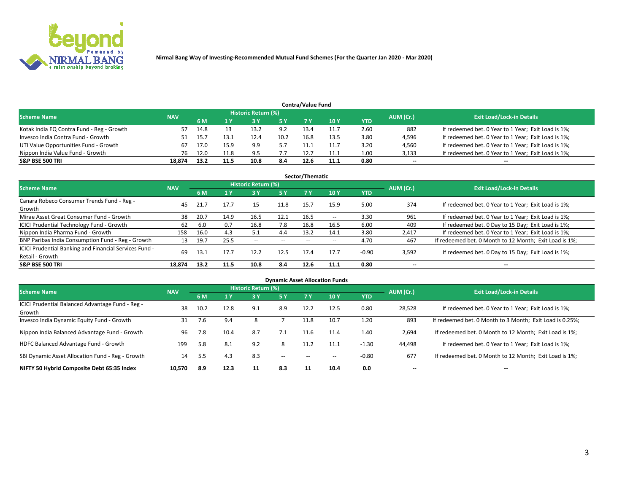

| <b>Contra/Value Fund</b><br>Historic Return (%) |            |      |      |      |      |      |      |      |           |                                                     |  |  |  |
|-------------------------------------------------|------------|------|------|------|------|------|------|------|-----------|-----------------------------------------------------|--|--|--|
| <b>Scheme Name</b>                              | <b>NAV</b> | 6 M  |      |      | 5 Y  | 7 Y  | 10Y  | YTD  | AUM (Cr.) | <b>Exit Load/Lock-in Details</b>                    |  |  |  |
| Kotak India EQ Contra Fund - Reg - Growth       |            | 14.8 |      | 13.7 | 9.2  | 13.4 | 11.7 | 2.60 | 882       | If redeemed bet. 0 Year to 1 Year; Exit Load is 1%; |  |  |  |
| Invesco India Contra Fund - Growth              |            |      | L3.1 | 12.4 | 10.2 | 16.8 | 13.5 | 3.80 | 4,596     | If redeemed bet. 0 Year to 1 Year; Exit Load is 1%; |  |  |  |
| UTI Value Opportunities Fund - Growth           | 67         | 17.0 | 15.9 | a q  |      |      | 11.7 | 3.20 | 4,560     | If redeemed bet. 0 Year to 1 Year; Exit Load is 1%; |  |  |  |
| Nippon India Value Fund - Growth                | 76         | 12.0 | 11.8 | q ۵  |      | 12.7 | 11.1 | 1.00 | 3,133     | If redeemed bet. 0 Year to 1 Year; Exit Load is 1%; |  |  |  |
| <b>S&amp;P BSE 500 TRI</b>                      | 18.874     | 13.2 |      |      | 8.4  | 12.6 | 11.1 | 0.80 | $\sim$    | $- -$                                               |  |  |  |

|                                                                           |            |      |      |                     |      | Sector/Thematic |       |            |           |                                                        |
|---------------------------------------------------------------------------|------------|------|------|---------------------|------|-----------------|-------|------------|-----------|--------------------------------------------------------|
| <b>Scheme Name</b>                                                        | <b>NAV</b> |      |      | Historic Return (%) |      |                 |       |            | AUM (Cr.) | <b>Exit Load/Lock-in Details</b>                       |
|                                                                           |            | 6 M  | 1 Y  | 73 Y                | 15 Y | 7 Y             | 10Y   | <b>YTD</b> |           |                                                        |
| Canara Robeco Consumer Trends Fund - Reg -<br>Growth                      | 45         | 21.7 | 17.7 | 15                  | 11.8 | 15.7            | 15.9  | 5.00       | 374       | If redeemed bet. 0 Year to 1 Year; Exit Load is 1%;    |
| Mirae Asset Great Consumer Fund - Growth                                  | 38         | 20.7 | 14.9 | 16.5                | 12.1 | 16.5            | $- -$ | 3.30       | 961       | If redeemed bet. 0 Year to 1 Year; Exit Load is 1%;    |
| <b>ICICI Prudential Technology Fund - Growth</b>                          | 62         | 6.0  | 0.7  | 16.8                | 7.8  | 16.8            | 16.5  | 6.00       | 409       | If redeemed bet. 0 Day to 15 Day; Exit Load is 1%;     |
| Nippon India Pharma Fund - Growth                                         | 158        | 16.0 | 4.3  | 5.1                 | 4.4  | 13.2            | 14.1  | 3.80       | 2,417     | If redeemed bet. 0 Year to 1 Year; Exit Load is 1%;    |
| BNP Paribas India Consumption Fund - Reg - Growth                         | 13         | 19.7 | 25.5 | $- -$               | --   | --              | $- -$ | 4.70       | 467       | If redeemed bet. 0 Month to 12 Month; Exit Load is 1%; |
| ICICI Prudential Banking and Financial Services Fund -<br>Retail - Growth | 69         | 13.1 | 17.7 | 12.2                | 12.5 | 17.4            | 17.7  | $-0.90$    | 3,592     | If redeemed bet. 0 Day to 15 Day; Exit Load is 1%;     |
| <b>S&amp;P BSE 500 TRI</b>                                                | 18.874     | 13.2 | 11.5 | 10.8                | 8.4  | 12.6            | 11.1  | 0.80       | --        | $\overline{\phantom{a}}$                               |

|                                                            |            |      |      |                     |        |      | <b>Dynamic Asset Allocation Funds</b> |            |                          |                                                          |
|------------------------------------------------------------|------------|------|------|---------------------|--------|------|---------------------------------------|------------|--------------------------|----------------------------------------------------------|
| <b>Scheme Name</b>                                         | <b>NAV</b> |      |      | Historic Return (%) |        |      |                                       |            | AUM (Cr.)                | <b>Exit Load/Lock-in Details</b>                         |
|                                                            |            | 6 M  |      | 3 Y                 | 5 Y    | 7 Y  | 10 <sub>Y</sub>                       | <b>YTD</b> |                          |                                                          |
| ICICI Prudential Balanced Advantage Fund - Reg -<br>Growth | 38         | 10.2 | 12.8 | 9.1                 | 8.9    | 12.2 | 12.5                                  | 0.80       | 28,528                   | If redeemed bet. 0 Year to 1 Year; Exit Load is 1%;      |
| Invesco India Dynamic Equity Fund - Growth                 | 31         | 7.6  | 9.4  |                     |        | 11.8 | 10.7                                  | 1.20       | 893                      | If redeemed bet. 0 Month to 3 Month; Exit Load is 0.25%; |
| Nippon India Balanced Advantage Fund - Growth              | 96         | 7.8  | 10.4 | 8.7                 | 7.1    | 11.6 | 11.4                                  | 1.40       | 2,694                    | If redeemed bet. 0 Month to 12 Month; Exit Load is 1%;   |
| HDFC Balanced Advantage Fund - Growth                      | 199        | 5.8  | 8.1  | 9.2                 | 8      | 11.2 | 11.1                                  | $-1.30$    | 44,498                   | If redeemed bet. 0 Year to 1 Year; Exit Load is 1%;      |
| SBI Dynamic Asset Allocation Fund - Reg - Growth           | 14         | 5.5  | 4.3  | 8.3                 | $\sim$ | --   | --                                    | $-0.80$    | 677                      | If redeemed bet. 0 Month to 12 Month; Exit Load is 1%;   |
| NIFTY 50 Hybrid Composite Debt 65:35 Index                 | 10,570     | 8.9  | 12.3 | 11                  | 8.3    | 11   | 10.4                                  | 0.0        | $\overline{\phantom{a}}$ | $- -$                                                    |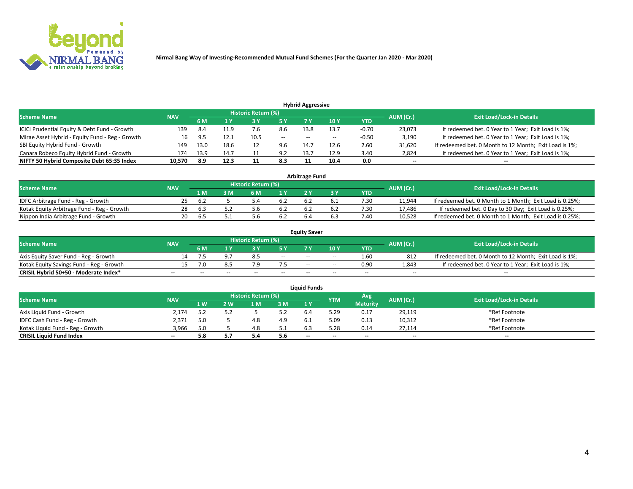

| <b>Hybrid Aggressive</b>                        |            |      |      |                            |        |                          |       |         |                          |                                                        |  |  |  |  |
|-------------------------------------------------|------------|------|------|----------------------------|--------|--------------------------|-------|---------|--------------------------|--------------------------------------------------------|--|--|--|--|
| <b>Scheme Name</b>                              | <b>NAV</b> |      |      | <b>Historic Return (%)</b> |        |                          |       |         | AUM (Cr.)                | <b>Exit Load/Lock-in Details</b>                       |  |  |  |  |
|                                                 |            | 6 M  |      |                            |        |                          | 10Y   | YTD     |                          |                                                        |  |  |  |  |
| ICICI Prudential Equity & Debt Fund - Growth    | 139        | 8.4  |      |                            | 8.6    | 13.8                     | 13.7  | $-0.70$ | 23,073                   | If redeemed bet. 0 Year to 1 Year; Exit Load is 1%;    |  |  |  |  |
| Mirae Asset Hybrid - Equity Fund - Reg - Growth | 16         | 9.5  | 12.1 | 10.5                       | $\sim$ | $\overline{\phantom{a}}$ | $- -$ | $-0.50$ | 3,190                    | If redeemed bet. 0 Year to 1 Year; Exit Load is 1%;    |  |  |  |  |
| SBI Equity Hybrid Fund - Growth                 | 149        | 13.0 | 18.6 |                            | 9.6    | 14.7                     | 12.6  | 2.60    | 31,620                   | If redeemed bet. 0 Month to 12 Month; Exit Load is 1%; |  |  |  |  |
| Canara Robeco Equity Hybrid Fund - Growth       | 174        | 13.9 | 14.7 |                            | 9.2    | 13.7                     | 12.9  | 3.40    | 2,824                    | If redeemed bet. 0 Year to 1 Year; Exit Load is 1%;    |  |  |  |  |
| NIFTY 50 Hybrid Composite Debt 65:35 Index      | 10,570     | 8.9  | 12.3 |                            | 8.3    |                          | 10.4  | 0.0     | $\overline{\phantom{a}}$ | $- -$                                                  |  |  |  |  |

|                                            | <b>Arbitrage Fund</b> |           |                                  |     |      |  |  |      |        |                                                          |  |  |  |  |  |
|--------------------------------------------|-----------------------|-----------|----------------------------------|-----|------|--|--|------|--------|----------------------------------------------------------|--|--|--|--|--|
| Scheme Name                                | <b>NAV</b>            | AUM (Cr.) | <b>Exit Load/Lock-in Details</b> |     |      |  |  |      |        |                                                          |  |  |  |  |  |
|                                            |                       | 1 M       | ያ M                              | 6 M |      |  |  | YTD  |        |                                                          |  |  |  |  |  |
| IDFC Arbitrage Fund - Reg - Growth         | 25.                   | - 6.2     |                                  |     | 6.2  |  |  | 7.30 | 11,944 | If redeemed bet. 0 Month to 1 Month; Exit Load is 0.25%; |  |  |  |  |  |
| Kotak Equity Arbitrage Fund - Reg - Growth | 28                    | b.3       |                                  | , b | -6.2 |  |  | 7.30 | 17,486 | If redeemed bet. 0 Day to 30 Day; Exit Load is 0.25%;    |  |  |  |  |  |
| Nippon India Arbitrage Fund - Growth       | 20                    | h'        |                                  |     | 6.2  |  |  | 7.40 | 10.528 | If redeemed bet. 0 Month to 1 Month; Exit Load is 0.25%; |  |  |  |  |  |

|                                          | <b>Equity Saver</b> |           |                                  |                          |                          |                          |       |            |        |                                                        |  |  |  |  |  |
|------------------------------------------|---------------------|-----------|----------------------------------|--------------------------|--------------------------|--------------------------|-------|------------|--------|--------------------------------------------------------|--|--|--|--|--|
| Scheme Name                              | <b>NAV</b>          | AUM (Cr.) | <b>Exit Load/Lock-in Details</b> |                          |                          |                          |       |            |        |                                                        |  |  |  |  |  |
|                                          |                     | 6 M       |                                  |                          | 5 V                      |                          | 10Y   | <b>YTD</b> |        |                                                        |  |  |  |  |  |
| Axis Equity Saver Fund - Reg - Growth    |                     |           |                                  | 8.5                      | $\sim$ $\sim$            | $- -$                    | $- -$ | 1.60       | 812    | If redeemed bet. 0 Month to 12 Month; Exit Load is 1%; |  |  |  |  |  |
| Kotak Equity Savings Fund - Reg - Growth |                     |           |                                  |                          |                          | $\overline{\phantom{a}}$ | --    | 0.90       | 1,843  | If redeemed bet. 0 Year to 1 Year; Exit Load is 1%;    |  |  |  |  |  |
| CRISIL Hybrid 50+50 - Moderate Index*    | $- -$               |           | $\overline{\phantom{a}}$         | $\overline{\phantom{a}}$ | $\overline{\phantom{a}}$ | $\sim$                   | --    | $- -$      | $\sim$ | $- -$                                                  |  |  |  |  |  |

| <b>Liquid Funds</b>              |            |                   |     |                            |       |     |            |                 |                          |                                  |  |  |  |
|----------------------------------|------------|-------------------|-----|----------------------------|-------|-----|------------|-----------------|--------------------------|----------------------------------|--|--|--|
| <b>Scheme Name</b>               | <b>NAV</b> |                   |     | <b>Historic Return (%)</b> |       |     | <b>YTM</b> | Avg             | AUM (Cr.)                | <b>Exit Load/Lock-in Details</b> |  |  |  |
|                                  |            | $4 \, \mathrm{W}$ | ว พ | l M                        | 3 M   | 1Y  |            | <b>Maturity</b> |                          |                                  |  |  |  |
| Axis Liquid Fund - Growth        | 2.174      |                   |     |                            | 5.2   |     | , 29       | 0.17            | 29,119                   | *Ref Footnote                    |  |  |  |
| IDFC Cash Fund - Reg - Growth    | 2.371      |                   |     |                            | 4.9   |     | 5.09       | 0.13            | 10,312                   | *Ref Footnote                    |  |  |  |
| Kotak Liguid Fund - Reg - Growth | 3,966      |                   |     |                            | ـ . ـ |     | 28، ر      | 0.14            | 27,114                   | *Ref Footnote                    |  |  |  |
| <b>CRISIL Liquid Fund Index</b>  | $\sim$     | 5.8               |     | 5.4                        | 5.6   | $-$ | --         | $-$             | $\overline{\phantom{a}}$ | $\sim$                           |  |  |  |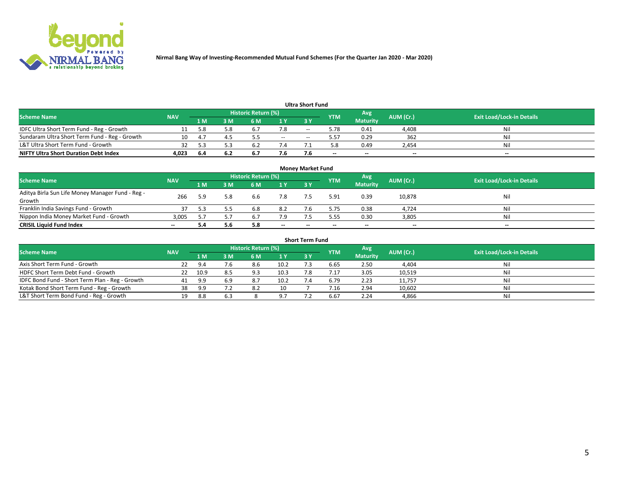

|                                               |            |          |      |                     |       | <b>Ultra Short Fund</b> |            |                 |           |                                  |
|-----------------------------------------------|------------|----------|------|---------------------|-------|-------------------------|------------|-----------------|-----------|----------------------------------|
| <b>Scheme Name</b>                            | <b>NAV</b> |          |      | Historic Return (%) |       |                         | <b>YTM</b> | Avg             | AUM (Cr.) | <b>Exit Load/Lock-in Details</b> |
|                                               |            | 1 M      | 3 M  | 6 M                 | 1 Y   | 3 Y                     |            | <b>Maturity</b> |           |                                  |
| IDFC Ultra Short Term Fund - Reg - Growth     |            | 5.8      | 5.8  | $b_{\cdot}$         | 7.8   | $- -$                   | 5.78       | 0.41            | 4,408     | Nil                              |
| Sundaram Ultra Short Term Fund - Reg - Growth |            | $\Delta$ |      |                     | $- -$ |                         | 5.57       | 0.29            | 362       | Nil                              |
| L&T Ultra Short Term Fund - Growth            |            |          |      | b.                  |       |                         | 5.8        | 0.49            | 2,454     | Nil                              |
| <b>NIFTY Ultra Short Duration Debt Index</b>  | 4.023      | -6.4     | -6.2 | <b>D.</b>           | 7.6   |                         | $\sim$     | $\sim$          | $\sim$    | $- -$                            |

| <b>Money Market Fund</b>                         |            |     |     |                     |        |    |            |                 |           |                                  |  |  |  |
|--------------------------------------------------|------------|-----|-----|---------------------|--------|----|------------|-----------------|-----------|----------------------------------|--|--|--|
| <b>Scheme Name</b>                               | <b>NAV</b> |     |     | Historic Return (%) |        |    | <b>YTM</b> | 'Avg            | AUM (Cr.) | <b>Exit Load/Lock-in Details</b> |  |  |  |
|                                                  |            | 1 M | 3 M | 6 M                 | 1 Y    | 3Y |            | <b>Maturity</b> |           |                                  |  |  |  |
| Aditya Birla Sun Life Money Manager Fund - Reg - | 266        | 5.9 | 5.8 | 6.6                 | 7.8    |    | 5.91       | 0.39            | 10,878    | Nil                              |  |  |  |
| Growth                                           |            |     |     |                     |        |    |            |                 |           |                                  |  |  |  |
| Franklin India Savings Fund - Growth             |            |     |     | 6.8                 | 8.2    |    | 5.75       | 0.38            | 4,724     | Nil                              |  |  |  |
| Nippon India Money Market Fund - Growth          | 3.005      |     |     | 6.7                 | 7.9    |    | 5.55       | 0.30            | 3,805     | Nil                              |  |  |  |
| <b>CRISIL Liquid Fund Index</b>                  | $- -$      |     | 5.6 | 5.8                 | $\sim$ | -- | --         | $\sim$          | $\sim$    | $\sim$                           |  |  |  |

| <b>Short Term Fund</b>                          |            |      |     |                            |      |           |            |                 |           |                                  |  |  |  |  |
|-------------------------------------------------|------------|------|-----|----------------------------|------|-----------|------------|-----------------|-----------|----------------------------------|--|--|--|--|
| <b>Scheme Name</b>                              | <b>NAV</b> |      |     | <b>Historic Return (%)</b> |      |           | <b>YTM</b> | Avg             | AUM (Cr.) | <b>Exit Load/Lock-in Details</b> |  |  |  |  |
|                                                 |            | 1 M  | 3 M | 6 M                        | 1Y   | <b>3Y</b> |            | <b>Maturity</b> |           |                                  |  |  |  |  |
| Axis Short Term Fund - Growth                   |            | 9.4  | 7.6 | 8.6                        | 10.2 |           | 6.65       | 2.50            | 4,404     | Nil                              |  |  |  |  |
| HDFC Short Term Debt Fund - Growth              |            | 10.9 | 8.5 | 9.3                        | 10.3 |           | 7.17       | 3.05            | 10,519    | Nil                              |  |  |  |  |
| IDFC Bond Fund - Short Term Plan - Reg - Growth | 41         | 9.9  | 6.9 | 8.7                        | 10.2 |           | 6.79       | 2.23            | 11,757    | Nil                              |  |  |  |  |
| Kotak Bond Short Term Fund - Reg - Growth       | 38         | 9.9  |     | 8.2                        | 10   |           | / .16      | 2.94            | 10,602    | Nil                              |  |  |  |  |
| L&T Short Term Bond Fund - Reg - Growth         | 19.        | 8.8  | 6.3 |                            | 97   |           | 6.67       | 2.24            | 4,866     | Nil                              |  |  |  |  |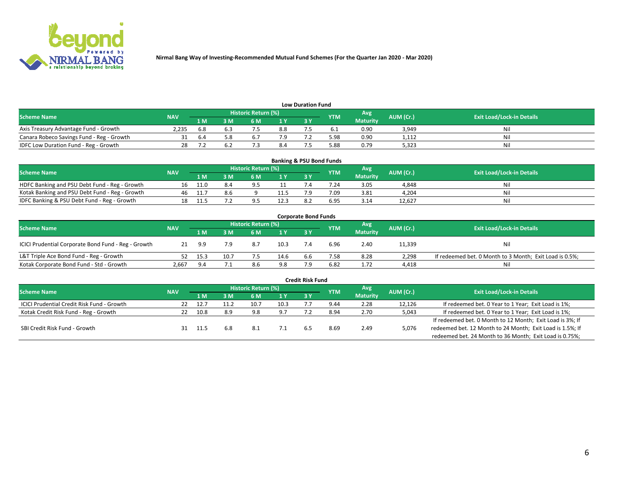

| <b>Low Duration Fund</b>                  |            |     |     |                            |      |  |            |                 |           |                                  |  |  |  |
|-------------------------------------------|------------|-----|-----|----------------------------|------|--|------------|-----------------|-----------|----------------------------------|--|--|--|
| <b>Scheme Name</b>                        | <b>NAV</b> |     |     | <b>Historic Return (%)</b> |      |  | <b>YTM</b> | Avg             | AUM (Cr.) | <b>Exit Load/Lock-in Details</b> |  |  |  |
|                                           |            | 1 M | ያ M | 5 M                        | 4 V. |  |            | <b>Maturity</b> |           |                                  |  |  |  |
| Axis Treasury Advantage Fund - Growth     | 2.235      | 6.8 |     |                            | 8.8  |  |            | 0.90            | 3,949     | Nil                              |  |  |  |
| Canara Robeco Savings Fund - Reg - Growth |            | b.4 |     | b.                         |      |  | 5.98       | 0.90            | 1,112     | Nil                              |  |  |  |
| IDFC Low Duration Fund - Reg - Growth     |            |     |     |                            | 8.4  |  | 5.88       | 0.79            | 5,323     | Nil                              |  |  |  |

| <b>Banking &amp; PSU Bond Funds</b>            |            |      |    |                            |      |           |            |                 |           |                                  |  |  |  |
|------------------------------------------------|------------|------|----|----------------------------|------|-----------|------------|-----------------|-----------|----------------------------------|--|--|--|
| <b>Scheme Name</b>                             | <b>NAV</b> |      |    | <b>Historic Return (%)</b> |      |           | <b>YTM</b> | Avg             | AUM (Cr.) | <b>Exit Load/Lock-in Details</b> |  |  |  |
|                                                |            | 1 M  | sм | 6 M                        |      | <b>3Y</b> |            | <b>Maturity</b> |           |                                  |  |  |  |
| HDFC Banking and PSU Debt Fund - Reg - Growth  |            | 11.0 |    |                            |      |           | 7.24       | 3.05            | 4,848     | Ni                               |  |  |  |
| Kotak Banking and PSU Debt Fund - Reg - Growth | 46         |      |    |                            | 11.5 |           | 7.09       | 3.81            | 4,204     | Ni                               |  |  |  |
| IDFC Banking & PSU Debt Fund - Reg - Growth    |            |      |    |                            | 12.3 |           | 6.95       | 3.14            | 12.627    | Ni                               |  |  |  |

| <b>Corporate Bond Funds</b>                         |            |      |                            |     |            |            |           |                                  |        |                                                         |  |  |  |
|-----------------------------------------------------|------------|------|----------------------------|-----|------------|------------|-----------|----------------------------------|--------|---------------------------------------------------------|--|--|--|
| <b>Scheme Name</b>                                  | <b>NAV</b> |      | <b>Historic Return (%)</b> |     | <b>YTM</b> | Avg        | AUM (Cr.) | <b>Exit Load/Lock-in Details</b> |        |                                                         |  |  |  |
|                                                     |            | 1 M  | 8 M                        | 6 M | 1 Y        | <b>3 Y</b> |           | <b>Maturity</b>                  |        |                                                         |  |  |  |
| ICICI Prudential Corporate Bond Fund - Reg - Growth |            | 9.9  | 7.9                        | 8.7 | 10.3       |            | 6.96      | 2.40                             | 11,339 | Nil                                                     |  |  |  |
| L&T Triple Ace Bond Fund - Reg - Growth             |            | 15.3 | 10.7                       |     | 14.6       | 6.6        | 7.58      | 8.28                             | 2,298  | If redeemed bet. 0 Month to 3 Month; Exit Load is 0.5%; |  |  |  |
| Kotak Corporate Bond Fund - Std - Growth            | 2,667      | 9.4  |                            | 8.6 | 9.8        |            | 6.82      | 1.72                             | 4,418  | Nil                                                     |  |  |  |

| <b>Credit Risk Fund</b>                    |            |      |     |                            |      |    |            |                 |           |                                                           |  |  |  |
|--------------------------------------------|------------|------|-----|----------------------------|------|----|------------|-----------------|-----------|-----------------------------------------------------------|--|--|--|
| <b>Scheme Name</b>                         | <b>NAV</b> |      |     | <b>Historic Return (%)</b> |      |    | <b>YTM</b> | Avg             | AUM (Cr.) | <b>Exit Load/Lock-in Details</b>                          |  |  |  |
|                                            |            | 1 M  | I M | 6 M                        | 1 Y  | 3Y |            | <b>Maturity</b> |           |                                                           |  |  |  |
| ICICI Prudential Credit Risk Fund - Growth | 22         | 12.7 |     | 10.7                       | 10.3 |    | 9.44       | 2.28            | 12,126    | If redeemed bet. 0 Year to 1 Year; Exit Load is 1%;       |  |  |  |
| Kotak Credit Risk Fund - Reg - Growth      |            | 10.8 | 8.9 | 9.8                        | 9.7  |    | 8.94       | 2.70            | 5,043     | If redeemed bet. 0 Year to 1 Year; Exit Load is 1%;       |  |  |  |
|                                            |            |      |     |                            |      |    |            |                 |           | If redeemed bet. 0 Month to 12 Month; Exit Load is 3%; If |  |  |  |
| SBI Credit Risk Fund - Growth              |            |      | 6.8 | 8.⊥                        |      |    | 8.69       | 2.49            | 5,076     | redeemed bet. 12 Month to 24 Month; Exit Load is 1.5%; If |  |  |  |
|                                            |            |      |     |                            |      |    |            |                 |           | redeemed bet. 24 Month to 36 Month; Exit Load is 0.75%;   |  |  |  |